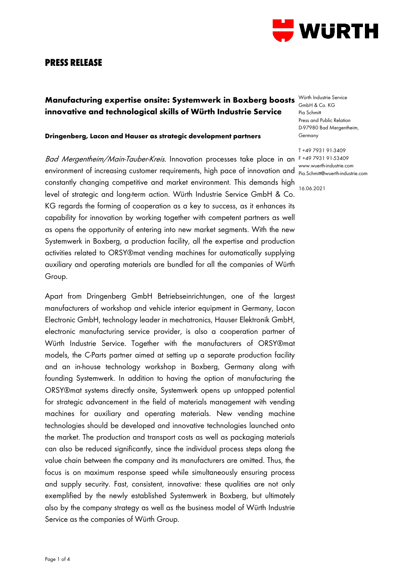

## **PRESS RELEASE**

# **Manufacturing expertise onsite: Systemwerk in Boxberg boosts** Würth Industrie Service **innovative and technological skills of Würth Industrie Service**

#### **Dringenberg, Lacon and Hauser as strategic development partners**

Bad Mergentheim/Main-Tauber-Kreis. Innovation processes take place in an F+49793191-53409 environment of increasing customer requirements, high pace of innovation and www.wuerth-industrie.com constantly changing competitive and market environment. This demands high level of strategic and long-term action. Würth Industrie Service GmbH & Co. KG regards the forming of cooperation as a key to success, as it enhances its capability for innovation by working together with competent partners as well as opens the opportunity of entering into new market segments. With the new Systemwerk in Boxberg, a production facility, all the expertise and production activities related to ORSY®mat vending machines for automatically supplying auxiliary and operating materials are bundled for all the companies of Würth Group.

Apart from Dringenberg GmbH Betriebseinrichtungen, one of the largest manufacturers of workshop and vehicle interior equipment in Germany, Lacon Electronic GmbH, technology leader in mechatronics, Hauser Elektronik GmbH, electronic manufacturing service provider, is also a cooperation partner of Würth Industrie Service. Together with the manufacturers of ORSY®mat models, the C-Parts partner aimed at setting up a separate production facility and an in-house technology workshop in Boxberg, Germany along with founding Systemwerk. In addition to having the option of manufacturing the ORSY®mat systems directly onsite, Systemwerk opens up untapped potential for strategic advancement in the field of materials management with vending machines for auxiliary and operating materials. New vending machine technologies should be developed and innovative technologies launched onto the market. The production and transport costs as well as packaging materials can also be reduced significantly, since the individual process steps along the value chain between the company and its manufacturers are omitted. Thus, the focus is on maximum response speed while simultaneously ensuring process and supply security. Fast, consistent, innovative: these qualities are not only exemplified by the newly established Systemwerk in Boxberg, but ultimately also by the company strategy as well as the business model of Würth Industrie Service as the companies of Würth Group.

GmbH & Co. KG Pia Schmitt Press and Public Relation D-97980 Bad Mergentheim, Germany

T +49 7931 91-3409 Pia.Schmitt@wuerth-industrie.com

16.06.2021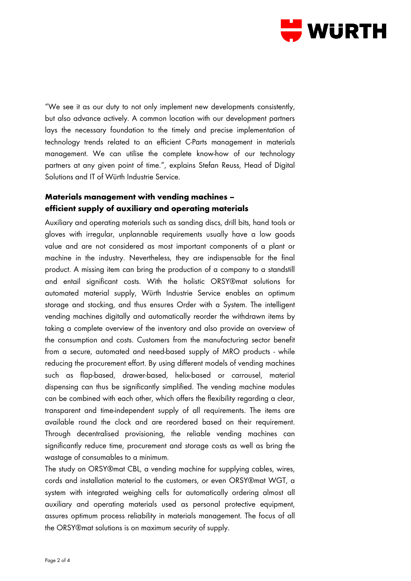

"We see it as our duty to not only implement new developments consistently, but also advance actively. A common location with our development partners lays the necessary foundation to the timely and precise implementation of technology trends related to an efficient C-Parts management in materials management. We can utilise the complete know-how of our technology partners at any given point of time.", explains Stefan Reuss, Head of Digital Solutions and IT of Würth Industrie Service.

## **Materials management with vending machines – efficient supply of auxiliary and operating materials**

Auxiliary and operating materials such as sanding discs, drill bits, hand tools or gloves with irregular, unplannable requirements usually have a low goods value and are not considered as most important components of a plant or machine in the industry. Nevertheless, they are indispensable for the final product. A missing item can bring the production of a company to a standstill and entail significant costs. With the holistic ORSY®mat solutions for automated material supply, Würth Industrie Service enables an optimum storage and stocking, and thus ensures Order with a System. The intelligent vending machines digitally and automatically reorder the withdrawn items by taking a complete overview of the inventory and also provide an overview of the consumption and costs. Customers from the manufacturing sector benefit from a secure, automated and need-based supply of MRO products - while reducing the procurement effort. By using different models of vending machines such as flap-based, drawer-based, helix-based or carrousel, material dispensing can thus be significantly simplified. The vending machine modules can be combined with each other, which offers the flexibility regarding a clear, transparent and time-independent supply of all requirements. The items are available round the clock and are reordered based on their requirement. Through decentralised provisioning, the reliable vending machines can significantly reduce time, procurement and storage costs as well as bring the wastage of consumables to a minimum.

The study on ORSY®mat CBL, a vending machine for supplying cables, wires, cords and installation material to the customers, or even ORSY®mat WGT, a system with integrated weighing cells for automatically ordering almost all auxiliary and operating materials used as personal protective equipment, assures optimum process reliability in materials management. The focus of all the ORSY®mat solutions is on maximum security of supply.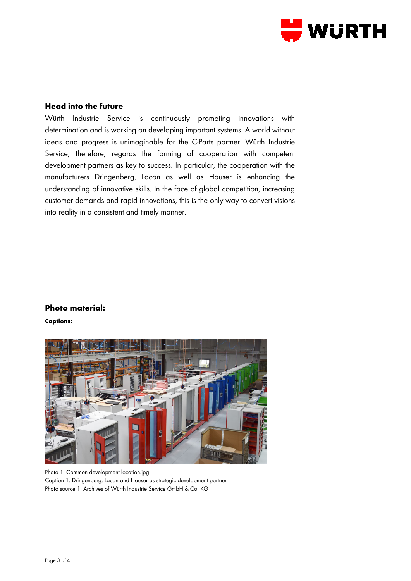

### **Head into the future**

Würth Industrie Service is continuously promoting innovations with determination and is working on developing important systems. A world without ideas and progress is unimaginable for the C-Parts partner. Würth Industrie Service, therefore, regards the forming of cooperation with competent development partners as key to success. In particular, the cooperation with the manufacturers Dringenberg, Lacon as well as Hauser is enhancing the understanding of innovative skills. In the face of global competition, increasing customer demands and rapid innovations, this is the only way to convert visions into reality in a consistent and timely manner.

#### **Photo material:**

**Captions:**



Photo 1: Common development location.jpg Caption 1: Dringenberg, Lacon and Hauser as strategic development partner Photo source 1: Archives of Würth Industrie Service GmbH & Co. KG